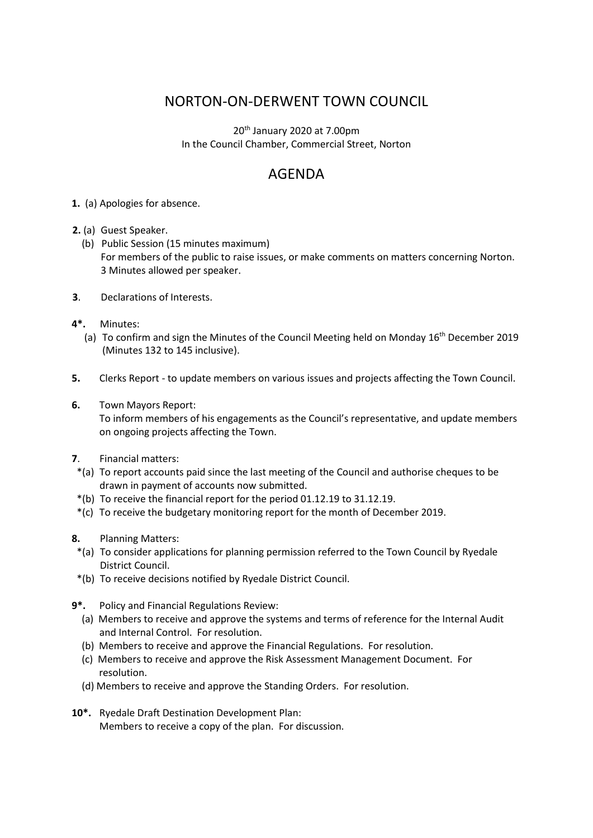## NORTON-ON-DERWENT TOWN COUNCIL

20th January 2020 at 7.00pm In the Council Chamber, Commercial Street, Norton

## AGENDA

- **1.** (a) Apologies for absence.
- **2.** (a) Guest Speaker.
	- (b) Public Session (15 minutes maximum) For members of the public to raise issues, or make comments on matters concerning Norton. 3 Minutes allowed per speaker.
- **3**. Declarations of Interests.
- **4\*.** Minutes:
	- (a) To confirm and sign the Minutes of the Council Meeting held on Monday  $16<sup>th</sup>$  December 2019 (Minutes 132 to 145 inclusive).
- **5.** Clerks Report to update members on various issues and projects affecting the Town Council.
- **6.** Town Mayors Report:

 To inform members of his engagements as the Council's representative, and update members on ongoing projects affecting the Town.

- **7**. Financial matters:
- \*(a) To report accounts paid since the last meeting of the Council and authorise cheques to be drawn in payment of accounts now submitted.
- \*(b) To receive the financial report for the period 01.12.19 to 31.12.19.
- \*(c) To receive the budgetary monitoring report for the month of December 2019.
- **8.** Planning Matters:
- \*(a) To consider applications for planning permission referred to the Town Council by Ryedale District Council.
- \*(b) To receive decisions notified by Ryedale District Council.
- **9\*.** Policy and Financial Regulations Review:
	- (a) Members to receive and approve the systems and terms of reference for the Internal Audit and Internal Control. For resolution.
	- (b) Members to receive and approve the Financial Regulations. For resolution.
	- (c) Members to receive and approve the Risk Assessment Management Document. For resolution.
	- (d) Members to receive and approve the Standing Orders. For resolution.
- **10\*.** Ryedale Draft Destination Development Plan: Members to receive a copy of the plan. For discussion.